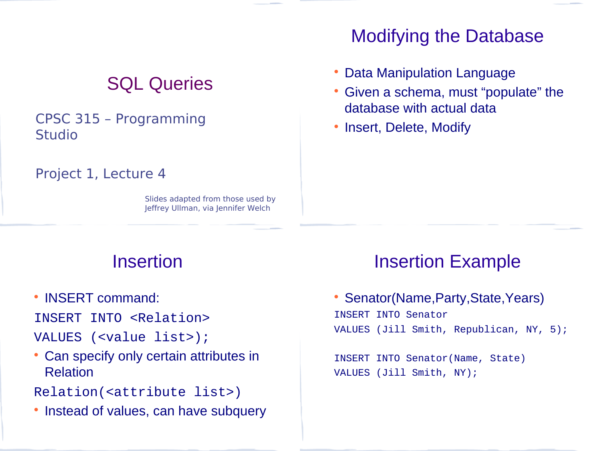## SQL Queries

#### CPSC 315 – Programming Studio

#### Project 1, Lecture 4

Slides adapted from those used by Jeffrey Ullman, via Jennifer Welch

#### Modifying the Database

- Data Manipulation Language
- Given a schema, must "populate" the database with actual data
- Insert, Delete, Modify

#### **Insertion**

• INSERT command:

INSERT INTO <Relation>

- VALUES (<value list>);
- Can specify only certain attributes in Relation
- Relation(<attribute list>)
- Instead of values, can have subquery

#### Insertion Example

• Senator(Name, Party, State, Years) INSERT INTO Senator VALUES (Jill Smith, Republican, NY, 5);

INSERT INTO Senator(Name, State) VALUES (Jill Smith, NY);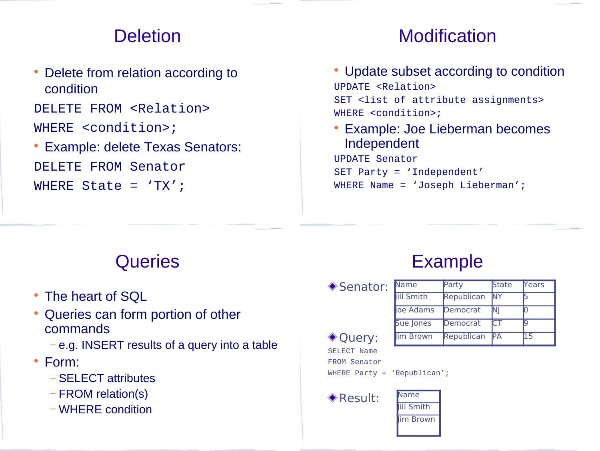#### **Deletion**

• Delete from relation according to condition

DELETE FROM <Relation> WHERE <condition>;

 Example: delete Texas Senators: DELETE FROM Senator WHERE State = 'TX';

## **Modification**

- Update subset according to condition UPDATE <Relation> SET <list of attribute assignments> WHERE <condition>;
- Example: Joe Lieberman becomes Independent UPDATE Senator

SET Party = 'Independent' WHERE Name = 'Joseph Lieberman';

## **Queries**

- The heart of SQL
- Queries can form portion of other commands
	- − e.g. INSERT results of a query into a table
- Form:
	- − SELECT attributes
	- − FROM relation(s)
	- − WHERE condition

## Example

◆ Senator:

| Name              | Party      | State | Years |
|-------------------|------------|-------|-------|
| <b>Iill Smith</b> | Republican | lΝY   |       |
| loe Adams         | Democrat   | ΝJ    |       |
| Sue Jones         | Democrat   | СT    |       |
| Im Brown          | Republican | IРА   | .5    |

◆ Ouery: SELECT Name FROM Senator WHERE Party = 'Republican';



**III Smith** lim Brown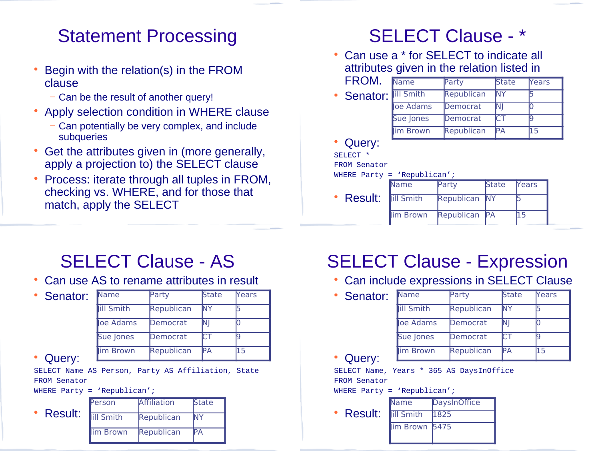#### Statement Processing

- Begin with the relation(s) in the FROM clause
	- − Can be the result of another query!
- Apply selection condition in WHERE clause
	- − Can potentially be very complex, and include subqueries
- Get the attributes given in (more generally, apply a projection to) the SELECT clause
- Process: iterate through all tuples in FROM, checking vs. WHERE, and for those that match, apply the SELECT

## SELECT Clause - \*

- Can use a \* for SELECT to indicate all attributes given in the relation listed in
	- FROM. Senator: **III Smith** Name Party State Years Republican NY loe Adams Democrat NJ Sue Jones Democrat CT im Brown Republican PA 15
- Query:

SELECT \*

FROM Senator

#### WHERE Party = 'Republican';

 Result: Name Party State Years ill Smith Republican NY im Brown Republican PA 15

## SELECT Clause - AS

Can use AS to rename attributes in result

| Senator: |
|----------|
|----------|

| Name              | Party      | <b>State</b> | <b>Years</b> |
|-------------------|------------|--------------|--------------|
| <b>Iill Smith</b> | Republican | NΥ           |              |
| oe Adams          | Democrat   | ΝI           |              |
| <b>Sue Jones</b>  | Democrat   | ਾ            |              |
| im Brown          | Republican | PА           | 15           |

Query:

SELECT Name AS Person, Party AS Affiliation, State FROM Senator

WHERE Party = 'Republican';

 Result: Person Affiliation State ill Smith Republican NY im Brown Republican PA

## SELECT Clause - Expression

- Can include expressions in SELECT Clause
	- Senator: Query: Name **Party** State Years **III Smith** Republican NY oe Adams Democrat NI Sue Jones Democrat CT Im Brown Republican PA 15

SELECT Name, Years \* 365 AS DaysInOffice FROM Senator

- WHERE Party = 'Republican';
	- Result: Name DaysInOffice Jill Smith 1825  $im$  Brown 5475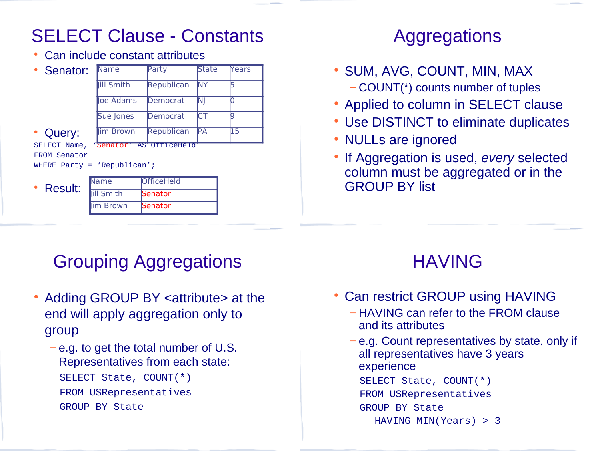Can include constant attributes

| • Senator:                                                                                     | Name             | Party      | <b>State</b> | Years |
|------------------------------------------------------------------------------------------------|------------------|------------|--------------|-------|
|                                                                                                | <b>ill Smith</b> | Republican | NΥ           |       |
|                                                                                                | oe Adams         | Democrat   | ΝI           |       |
|                                                                                                | Sue Jones        | Democrat   |              | q     |
| Query:                                                                                         | im Brown         | Republican | IРA          | 15    |
| SELECT Name,<br>Senator AS UTTICEHEIO<br><b>FROM Senator</b><br>WHERE Party = $'$ Republican'; |                  |            |              |       |
| • Result:                                                                                      | Name             | OfficeHeld |              |       |
|                                                                                                | <b>ill Smith</b> | Senator    |              |       |
|                                                                                                | im Brown         | Senator    |              |       |

## Grouping Aggregations

- Adding GROUP BY <attribute> at the end will apply aggregation only to group
	- − e.g. to get the total number of U.S. Representatives from each state: SELECT State, COUNT(\*) FROM USRepresentatives GROUP BY State

#### Aggregations

- SUM, AVG, COUNT, MIN, MAX
	- − COUNT(\*) counts number of tuples
- Applied to column in SELECT clause
- Use DISTINCT to eliminate duplicates
- NULLs are ignored
- If Aggregation is used, *every* selected column must be aggregated or in the GROUP BY list

#### HAVING

- Can restrict GROUP using HAVING
	- − HAVING can refer to the FROM clause and its attributes
	- − e.g. Count representatives by state, only if all representatives have 3 years experience SELECT State, COUNT(\*) FROM USRepresentatives GROUP BY State HAVING MIN(Years) > 3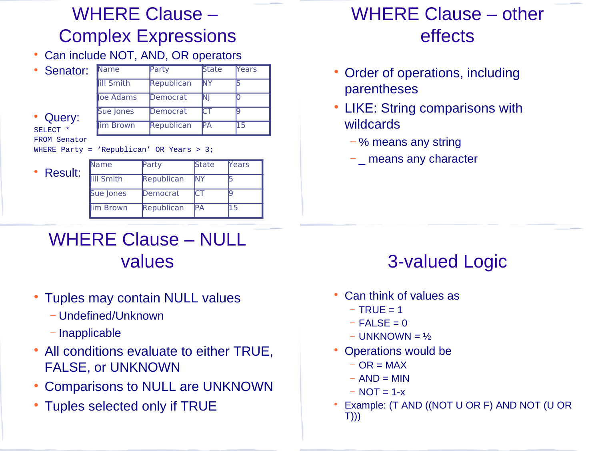## WHERE Clause – Complex Expressions

Can include NOT, AND, OR operators

| Senator: |
|----------|
|          |

Name Party State Years

 Query: SELECT \* FROM Senator

ill Smith Republican NY oe Adams Democrat NJ Sue Jones Democrat CT im Brown Republican PA 15

WHERE Party = 'Republican' OR Years  $> 3$ ;

• Result:

| Name              | Party      | <b>State</b> | <b>Years</b> |
|-------------------|------------|--------------|--------------|
| <b>Iill Smith</b> | Republican | NΥ           |              |
| Sue Jones         | Democrat   | СT           |              |
| im Brown          | Republican | PА           | 15           |

#### WHERE Clause – other effects

- Order of operations, including parentheses
- LIKE: String comparisons with wildcards
	- − % means any string
	- − means any character

## WHERE Clause – NULL values

- Tuples may contain NULL values
	- − Undefined/Unknown
	- − Inapplicable
- All conditions evaluate to either TRUE, FALSE, or UNKNOWN
- Comparisons to NULL are UNKNOWN
- Tuples selected only if TRUE

# 3-valued Logic

- Can think of values as
	- $-$  TRUE = 1
	- $-$  FALSE = 0
	- − UNKNOWN = ½
- Operations would be
	- $-$  OR = MAX
	- $-$  AND = MIN
	- $-$  NOT = 1- $x$
- Example: (T AND ((NOT U OR F) AND NOT (U OR T)))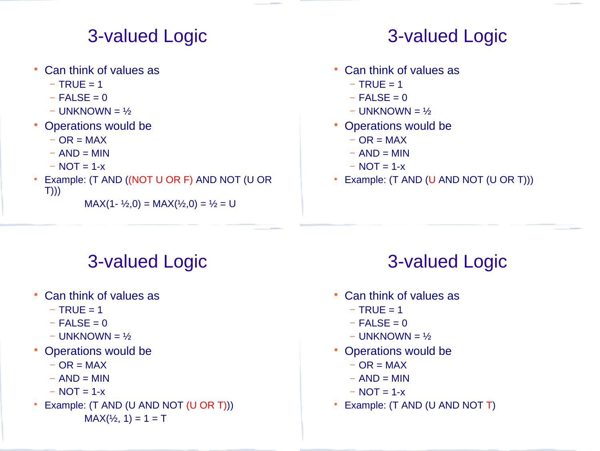#### 3-valued Logic

- Can think of values as
	- $-$  TRUE = 1
	- $-$  FALSE = 0
	- − UNKNOWN = ½
- Operations would be
	- $-$  OR = MAX
	- $-$  AND = MIN
	- $-$  NOT = 1-x
- Example: (T AND ((NOT U OR F) AND NOT (U OR T)))

```
MAX(1 - \frac{1}{2}, 0) = MAX(\frac{1}{2}, 0) = \frac{1}{2} = U
```
## 3-valued Logic

- Can think of values as
	- $-$  TRUE = 1
	- $-$  FALSE = 0
	- − UNKNOWN = ½
- Operations would be
	- $-$  OR = MAX
	- $-$  AND = MIN
	- $-$  NOT = 1-x
- Example: (T AND (U AND NOT (U OR T)))

## 3-valued Logic

- Can think of values as
	- $-$  TRUE = 1
	- $-$  FALSE = 0
	- − UNKNOWN = ½
- Operations would be
	- $-$  OR = MAX
	- $-$  AND = MIN
	- $-$  NOT = 1-x
- Example: (T AND (U AND NOT (U OR T)))  $MAX(½, 1) = 1 = T$

# 3-valued Logic

- Can think of values as
	- $-$  TRUE = 1
	- $-$  FALSE = 0
	- − UNKNOWN = ½
- Operations would be
	- $-$  OR = MAX
	- $-$  AND = MIN
	- $-$  NOT = 1-x
- Example: (T AND (U AND NOT T)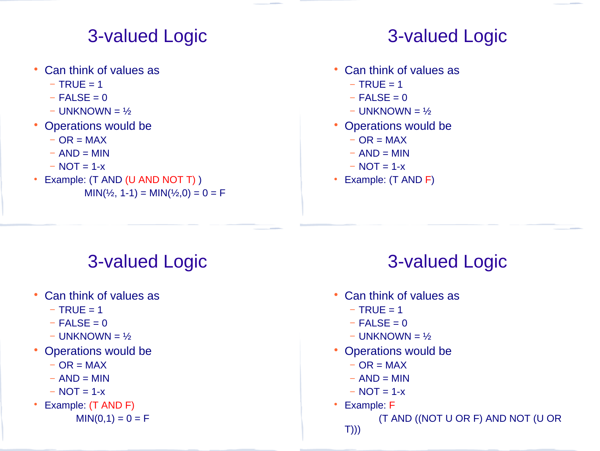#### 3-valued Logic

- Can think of values as
	- $-$  TRUE = 1
	- $-$  FALSE = 0
	- − UNKNOWN = ½
- Operations would be
	- $-$  OR = MAX
	- $-$  AND = MIN
	- $-$  NOT = 1-x
- Example: (T AND (U AND NOT T))  $MIN(½, 1-1) = MIN(½, 0) = 0 = F$

## 3-valued Logic

- Can think of values as
	- $-$  TRUE = 1
	- $-$  FALSE = 0
	- − UNKNOWN = ½
- Operations would be
	- $-$  OR = MAX
	- $-$  AND = MIN
	- $-$  NOT = 1-x
- Example: (T AND F)

# 3-valued Logic

- Can think of values as
	- $-$  TRUE = 1
	- $-$  FALSE = 0
	- − UNKNOWN = ½
- Operations would be
	- $-$  OR = MAX
	- $-$  AND = MIN
	- $-$  NOT = 1-x
- Example: (T AND F)

 $MIN(0,1) = 0 = F$ 

# 3-valued Logic

- Can think of values as
	- $-$  TRUE = 1
	- $-$  FALSE = 0
	- − UNKNOWN = ½
- Operations would be
	- $-$  OR = MAX
	- $-$  AND = MIN
	- $-$  NOT = 1-x
- Example: F

 (T AND ((NOT U OR F) AND NOT (U OR T)))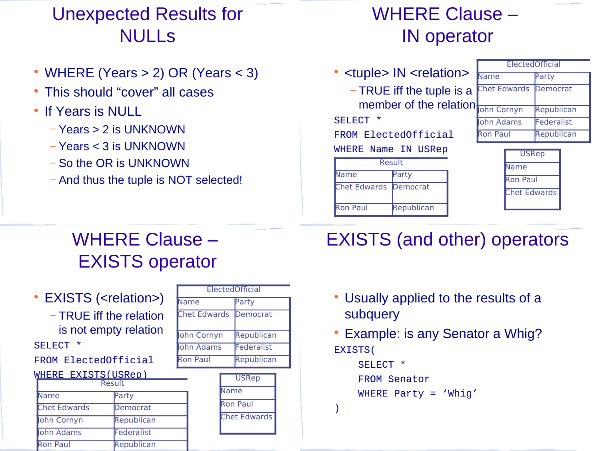## Unexpected Results for NULLs

- WHERE (Years > 2) OR (Years < 3)
- This should "cover" all cases
- If Years is NULL
	- − Years > 2 is UNKNOWN
	- − Years < 3 is UNKNOWN
	- − So the OR is UNKNOWN
	- − And thus the tuple is NOT selected!

## WHERE Clause – IN operator

- <tuple> IN <relation>
	- − TRUE iff the tuple is a member of the relation

#### SELECT \*

FROM ElectedOfficial

#### WHERE Name IN USRep

| Result                       |            |
|------------------------------|------------|
| Vame<br>Party                |            |
| <b>Chet Edwards Democrat</b> |            |
| Ron Paul                     | Republican |

|  | <b>FlectedOfficial</b> |            |  |
|--|------------------------|------------|--|
|  | Vame                   | Party      |  |
|  | <b>Chet Edwards</b>    | Democrat   |  |
|  | ohn Cornyn             | Republican |  |
|  | ohn Adams              | Federalist |  |
|  | <b>Ron Paul</b>        | Republican |  |

| <b>USRep</b>        |
|---------------------|
| Vame                |
| Ron Paul            |
| <b>Chet Edwards</b> |
|                     |

## WHERE Clause – EXISTS operator

• EXISTS (<relation>)

− TRUE iff the relation is not empty relation SELECT \*

FROM ElectedOfficial

| WHERE EXISTS(USRen) |  |
|---------------------|--|

| Result              |            |  |
|---------------------|------------|--|
| Name                | Party      |  |
| <b>Chet Edwards</b> | Democrat   |  |
| ohn Cornyn          | Republican |  |
| <b>John Adams</b>   | Federalist |  |
| <b>Ron Paul</b>     | Republican |  |

| ElectedOfficial     |            |  |  |
|---------------------|------------|--|--|
| Name                | Party      |  |  |
| <b>Chet Edwards</b> | Democrat   |  |  |
| ohn Cornyn          | Republican |  |  |
| lohn Adams          | Federalist |  |  |
| Ron Paul            | Republican |  |  |

| <b>USRep</b>        |  |  |
|---------------------|--|--|
| Vame                |  |  |
| Ron Paul            |  |  |
| <b>Chet Edwards</b> |  |  |

# EXISTS (and other) operators

- Usually applied to the results of a subquery
- Example: is any Senator a Whig? EXISTS(

```
 SELECT *
 FROM Senator
WHERE Party = 'Whig'
```
)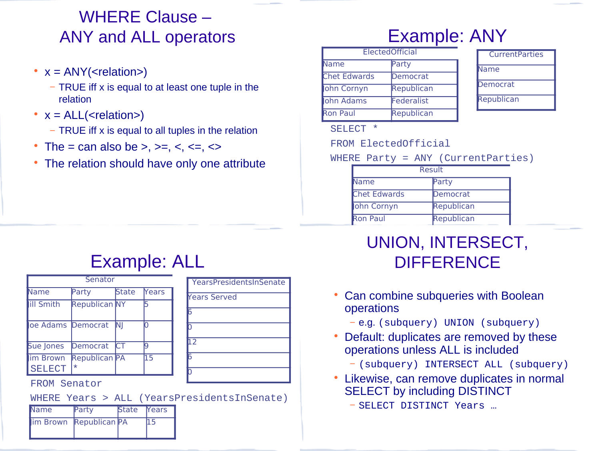#### WHERE Clause – ANY and ALL operators

- $x = \text{ANY}(\text{~relation>})$ 
	- − TRUE iff x is equal to at least one tuple in the relation
- $\bullet$  x = ALL(<relation>)
	- − TRUE iff x is equal to all tuples in the relation
- The = can also be >, >=,  $\lt$ ,  $\lt$ =,  $\lt$
- The relation should have only one attribute

### Example: ANY

| ElectedOfficial     |            |  |
|---------------------|------------|--|
| Name                | Party      |  |
| <b>Chet Edwards</b> | Democrat   |  |
| ohn Cornyn          | Republican |  |
| <b>John Adams</b>   | Federalist |  |
| <b>Ron Paul</b>     | Republican |  |

#### **CurrentParties** Name Democrat

Republican

SELECT \*

FROM ElectedOfficial

WHERE Party = ANY (CurrentParties)

| Result              |            |  |
|---------------------|------------|--|
| Name                | Party      |  |
| <b>Chet Edwards</b> | Democrat   |  |
| ohn Cornyn          | Republican |  |
| <b>Ron Paul</b>     | Republican |  |

#### Example: ALL

| Senator                   |                                 |       |              |
|---------------------------|---------------------------------|-------|--------------|
| <b>Vame</b>               | Party                           | State | <b>Years</b> |
| ill Smith                 | <b>Republican NY</b>            |       |              |
| oe Adams Democrat         |                                 | IΝI   |              |
| Sue Jones                 | Democrat                        | СT    |              |
| im Brown<br><b>SELECT</b> | <b>Republican PA</b><br>$\star$ |       | 15           |

Years Served 6  $\mathsf{D}$ 12 6  $\mathsf{D}$ 

YearsPresidentsInSenate

#### FROM Senator

WHERE Years > ALL (YearsPresidentsInSenate)

| <b>Name</b> | Party                  | <b>State Mears</b> |  |
|-------------|------------------------|--------------------|--|
|             | Im Brown Republican PA |                    |  |

#### UNION, INTERSECT, **DIFFERENCE**

- Can combine subqueries with Boolean operations
	- <sup>−</sup> e.g. (subquery) UNION (subquery)
- Default: duplicates are removed by these operations unless ALL is included
	- − (subquery) INTERSECT ALL (subquery)
- Likewise, can remove duplicates in normal SELECT by including DISTINCT

− SELECT DISTINCT Years …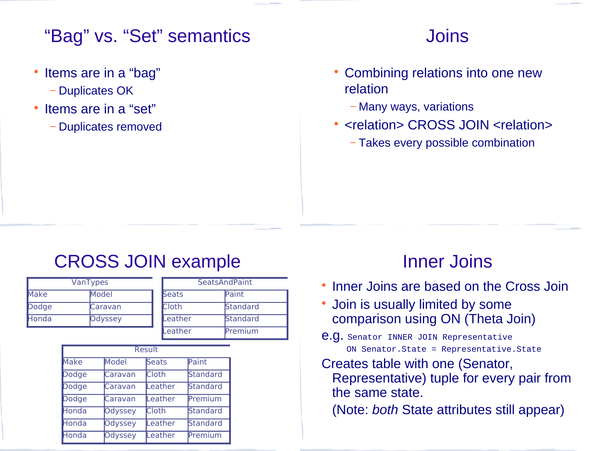#### "Bag" vs. "Set" semantics

- Items are in a "bag"
	- − Duplicates OK
- Items are in a "set"
	- − Duplicates removed

#### **Joins**

- Combining relations into one new relation
	- − Many ways, variations
- <relation> CROSS JOIN <relation>
	- − Takes every possible combination

#### CROSS JOIN example

| <b>VanTypes</b> |         |              | <b>SeatsAndPaint</b> |  |
|-----------------|---------|--------------|----------------------|--|
| <b>Make</b>     | Model   | <b>Seats</b> | Paint                |  |
| Dodge           | Caravan | <b>Cloth</b> | <b>Standard</b>      |  |
| Honda           | Odyssey | Leather      | <b>Standard</b>      |  |
|                 |         | Leather      | Premium              |  |

| Result       |                |              |          |
|--------------|----------------|--------------|----------|
| <b>Make</b>  | Model          | Seats        | Paint    |
| <b>Dodge</b> | Caravan        | <b>Cloth</b> | Standard |
| <b>Dodge</b> | Caravan        | Leather      | Standard |
| <b>Dodge</b> | Caravan        | Leather      | Premium  |
| Honda        | Odyssey        | <b>Cloth</b> | Standard |
| Honda        | <b>Odyssey</b> | Leather      | Standard |
| Honda        | <b>Odyssey</b> | Leather      | Premium  |

#### Inner Joins

- Inner Joins are based on the Cross Join
- Join is usually limited by some comparison using ON (Theta Join)
- e.g. Senator INNER JOIN Representative ON Senator.State = Representative.State
- Creates table with one (Senator, Representative) tuple for every pair from the same state.

(Note: *both* State attributes still appear)